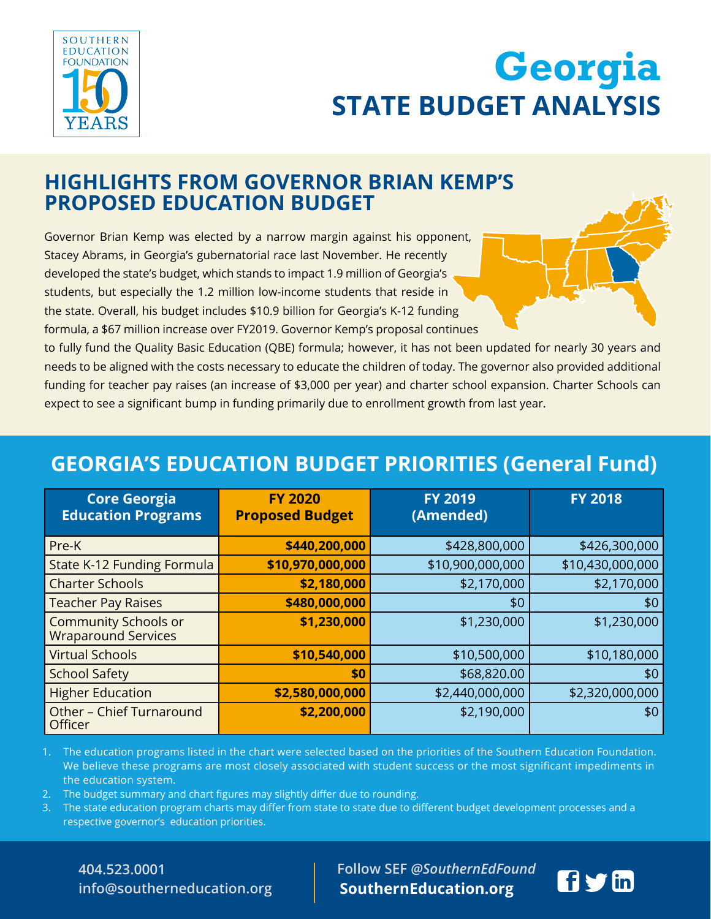

# **STATE BUDGET ANALYSIS Georgia INITIATIVE STATE BUDGET ANALYSIS Georgia**

## **HIGHLIGHTS FROM GOVERNOR BRIAN KEMP'S PROPOSED EDUCATION BUDGET**

Governor Brian Kemp was elected by a narrow margin against his opponent, Stacey Abrams, in Georgia's gubernatorial race last November. He recently developed the state's budget, which stands to impact 1.9 million of Georgia's students, but especially the 1.2 million low-income students that reside in the state. Overall, his budget includes \$10.9 billion for Georgia's K-12 funding formula, a \$67 million increase over FY2019. Governor Kemp's proposal continues

to fully fund the Quality Basic Education (QBE) formula; however, it has not been updated for nearly 30 years and needs to be aligned with the costs necessary to educate the children of today. The governor also provided additional funding for teacher pay raises (an increase of \$3,000 per year) and charter school expansion. Charter Schools can expect to see a significant bump in funding primarily due to enrollment growth from last year.

## **GEORGIA'S EDUCATION BUDGET PRIORITIES (General Fund)**

| <b>Core Georgia</b><br><b>Education Programs</b>          | <b>FY 2020</b><br><b>Proposed Budget</b> | <b>FY 2019</b><br>(Amended) | <b>FY 2018</b>   |
|-----------------------------------------------------------|------------------------------------------|-----------------------------|------------------|
| Pre-K                                                     | \$440,200,000                            | \$428,800,000               | \$426,300,000    |
| State K-12 Funding Formula                                | \$10,970,000,000                         | \$10,900,000,000            | \$10,430,000,000 |
| <b>Charter Schools</b>                                    | \$2,180,000                              | \$2,170,000                 | \$2,170,000      |
| <b>Teacher Pay Raises</b>                                 | \$480,000,000                            | \$0                         | \$0              |
| <b>Community Schools or</b><br><b>Wraparound Services</b> | \$1,230,000                              | \$1,230,000                 | \$1,230,000      |
| <b>Virtual Schools</b>                                    | \$10,540,000                             | \$10,500,000                | \$10,180,000     |
| <b>School Safety</b>                                      | \$0                                      | \$68,820.00                 | \$0              |
| <b>Higher Education</b>                                   | \$2,580,000,000                          | \$2,440,000,000             | \$2,320,000,000  |
| Other - Chief Turnaround<br>Officer                       | \$2,200,000                              | \$2,190,000                 | \$0              |

1. The education programs listed in the chart were selected based on the priorities of the Southern Education Foundation. We believe these programs are most closely associated with student success or the most significant impediments in the education system.

- 2. The budget summary and chart figures may slightly differ due to rounding.
- 3. The state education program charts may differ from state to state due to different budget development processes and a respective governor's education priorities.

**404.523.0001 404.523.0001 info@southerneducation.org info@southerneducation.org**   **Follow SEF** *@SouthernEdFound* **Follow SEF** *@SouthernEdFound* **SouthernEducation.org SouthernEducation.org**